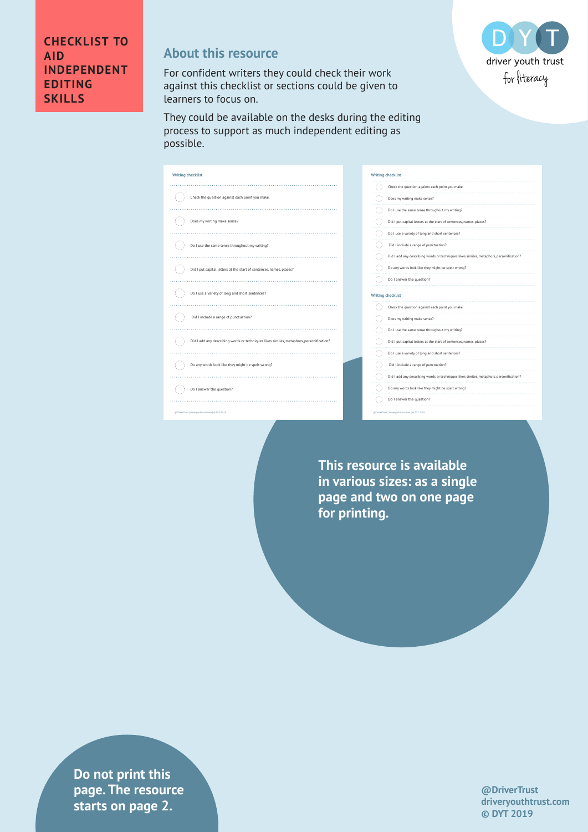

## **About this resource**

For confident writers they could check their work against this checklist or sections could be given to learners to focus on.

They could be available on the desks during the editing process to support as much independent editing as possible.

**Writing checklist**  $\bigcirc$  Check the question against each point you make.  $\bigodot$  Does my writing make sense?  $\bigodot$  Do I use the same tense throughout my writing? Did I put capital letters at the start of sentences, names, places?  $\bigcirc$  Do I use a variety of long and short sentences?  $\begin{picture}(180,10) \put(0,0){\line(1,0){10}} \put(10,0){\line(1,0){10}} \put(10,0){\line(1,0){10}} \put(10,0){\line(1,0){10}} \put(10,0){\line(1,0){10}} \put(10,0){\line(1,0){10}} \put(10,0){\line(1,0){10}} \put(10,0){\line(1,0){10}} \put(10,0){\line(1,0){10}} \put(10,0){\line(1,0){10}} \put(10,0){\line(1,0){10}} \put(10,0){\line($  $\qquad \qquad \overline{\qquad \qquad }$  Did I add any describing words or techniques likes similes, metaphors, personification?  $\bigcirc$  Do any words look like they might be spelt wrong?  $\begin{picture}(180,10) \put(0,0){\line(1,0){10}} \put(10,0){\line(1,0){10}} \put(10,0){\line(1,0){10}} \put(10,0){\line(1,0){10}} \put(10,0){\line(1,0){10}} \put(10,0){\line(1,0){10}} \put(10,0){\line(1,0){10}} \put(10,0){\line(1,0){10}} \put(10,0){\line(1,0){10}} \put(10,0){\line(1,0){10}} \put(10,0){\line(1,0){10}} \put(10,0){\line($ @DriverTrust | driveryouthtrust.com | © DYT 2019

| Check the question against each point you make.                                                                       |
|-----------------------------------------------------------------------------------------------------------------------|
| Does my writing make sense?                                                                                           |
| Do I use the same tense throughout my writing?                                                                        |
| Did I put capital letters at the start of sentences, names, places?                                                   |
| Do I use a variety of long and short sentences?                                                                       |
| Did I include a range of punctuation?                                                                                 |
| Did I add any describing words or techniques likes similes, metaphors, personification?                               |
| Do any words look like they might be spelt wrong?                                                                     |
|                                                                                                                       |
| Do I answer the question?<br><b>Writing checklist</b>                                                                 |
| Check the question against each point you make.                                                                       |
| Does my writing make sense?                                                                                           |
| Do I use the same tense throughout my writing?<br>Did I put capital letters at the start of sentences, names, places? |
| Do I use a variety of long and short sentences?                                                                       |
| Did I include a range of punctuation?                                                                                 |
| Did I add any describing words or techniques likes similes, metaphors, personification?                               |
| Do any words look like they might be spelt wrong?                                                                     |

**This resource is available in various sizes: as a single page and two on one page for printing.**

**drivers in text** is tarts on page 2. **Do not print this page. The resource** 

**@DriverTrust driveryouthtrust.com © DYT 2019**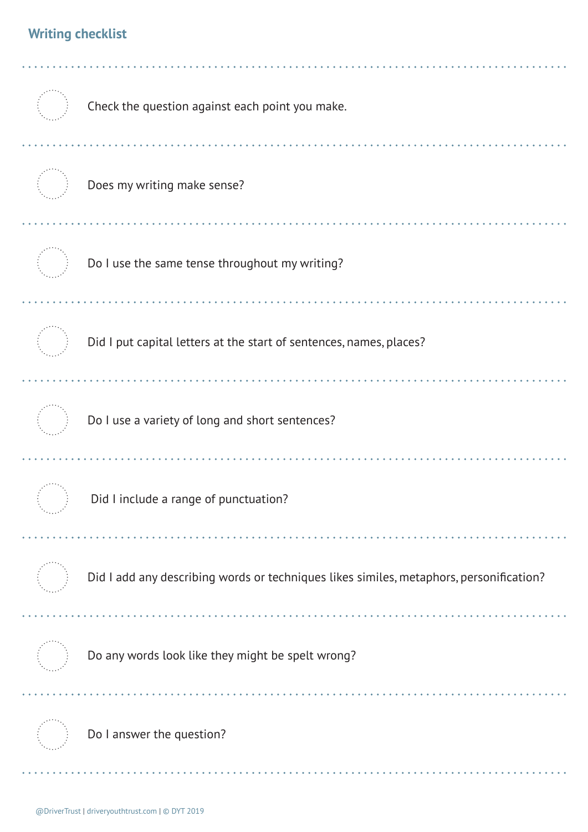## **Writing checklist**

| Check the question against each point you make.                                         |
|-----------------------------------------------------------------------------------------|
| Does my writing make sense?                                                             |
| Do I use the same tense throughout my writing?                                          |
| Did I put capital letters at the start of sentences, names, places?                     |
| Do I use a variety of long and short sentences?                                         |
| Did I include a range of punctuation?                                                   |
| Did I add any describing words or techniques likes similes, metaphors, personification? |
| Do any words look like they might be spelt wrong?                                       |
| Do I answer the question?                                                               |
|                                                                                         |